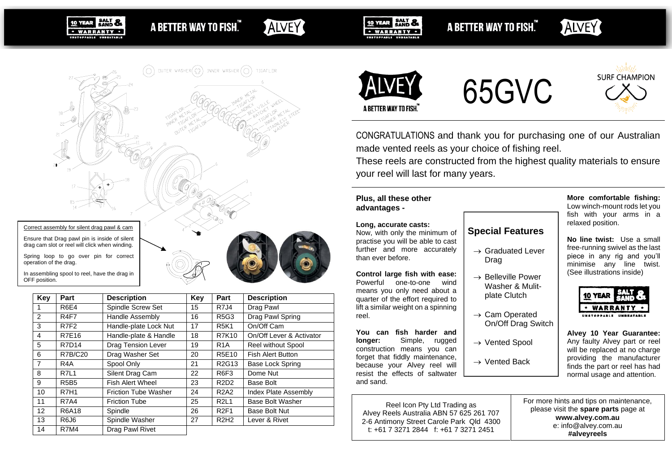SALT & · WARRANTY ·

A BETTER WAY TO FISH."

# ALVEY



A BETTER WAY TO FISH."

**ALVEY** 

In assembling spool to reel, have the drag in OFF position.

**SALT &** 

10 YEAR

· WARRANTY ·

| Key               | Part             | <b>Description</b>          | Key | Part                          | <b>Description</b>          |
|-------------------|------------------|-----------------------------|-----|-------------------------------|-----------------------------|
| 1                 | <b>R6E4</b>      | Spindle Screw Set           | 15  | <b>R7J4</b>                   | Drag Pawl                   |
| $\mathcal{P}$     | R <sub>4F7</sub> | <b>Handle Assembly</b>      | 16  | <b>R5G3</b>                   | Drag Pawl Spring            |
| 3                 | R7F <sub>2</sub> | Handle-plate Lock Nut       | 17  | <b>R5K1</b>                   | On/Off Cam                  |
| $\overline{4}$    | <b>R7E16</b>     | Handle-plate & Handle       | 18  | <b>R7K10</b>                  | On/Off Lever & Activator    |
| 5                 | <b>R7D14</b>     | <b>Drag Tension Lever</b>   | 19  | R <sub>1</sub> A              | <b>Reel without Spool</b>   |
| 6                 | <b>R7B/C20</b>   | Drag Washer Set             | 20  | R5E10                         | <b>Fish Alert Button</b>    |
| $\overline{7}$    | R4A              | Spool Only                  | 21  | R2G13                         | Base Lock Spring            |
| 8                 | R7L1             | Silent Drag Cam             | 22  | R6F3                          | Dome Nut                    |
| 9                 | <b>R5B5</b>      | <b>Fish Alert Wheel</b>     | 23  | R <sub>2</sub> D <sub>2</sub> | Base Bolt                   |
| 10                | <b>R7H1</b>      | <b>Friction Tube Washer</b> | 24  | <b>R2A2</b>                   | <b>Index Plate Assembly</b> |
| 11                | <b>R7A4</b>      | <b>Friction Tube</b>        | 25  | <b>R2L1</b>                   | <b>Base Bolt Washer</b>     |
| $12 \overline{ }$ | <b>R6A18</b>     | Spindle                     | 26  | <b>R2F1</b>                   | <b>Base Bolt Nut</b>        |
| 13                | R6J6             | Spindle Washer              | 27  | <b>R2H2</b>                   | Lever & Rivet               |
| 14                | <b>R7M4</b>      | Drag Pawl Rivet             |     |                               |                             |



**10 YEAR** 



**SURF CHAMPION** 

CONGRATULATIONS and thank you for purchasing one of our Australian made vented reels as your choice of fishing reel.

These reels are constructed from the highest quality materials to ensure your reel will last for many years.

**Special Features**

 $\rightarrow$  Graduated Lever

 $\rightarrow$  Belleville Power Washer & Mulitplate Clutch

 $\rightarrow$  Cam Operated

 $\rightarrow$  Vented Spool

 $\rightarrow$  Vented Back

On/Off Drag Switch

Drag

# **Plus, all these other advantages -**

### **Long, accurate casts:**

Now, with only the minimum of practise you will be able to cast further and more accurately than ever before.

# **Control large fish with ease:**

Powerful one-to-one wind means you only need about a quarter of the effort required to lift a similar weight on a spinning reel.

**You can fish harder and longer:** Simple, rugged construction means you can forget that fiddly maintenance, because your Alvey reel will resist the effects of saltwater and sand.

Reel Icon Pty Ltd Trading as Alvey Reels Australia ABN 57 625 261 707 2-6 Antimony Street Carole Park Qld 4300 t: +61 7 3271 2844 f: +61 7 3271 2451

## **More comfortable fishing:** Low winch-mount rods let you

fish with your arms in a relaxed position.

**No line twist:** Use a small free-running swivel as the last piece in any rig and you'll minimise any line twist. (See illustrations inside)

| <b>10 YEAR</b>                |  |  |  |  |  |
|-------------------------------|--|--|--|--|--|
| 'ARRANTY                      |  |  |  |  |  |
| NSTOPPARLE<br><b>BEATABLE</b> |  |  |  |  |  |

**Alvey 10 Year Guarantee:** Any faulty Alvey part or reel will be replaced at no charge providing the manufacturer finds the part or reel has had normal usage and attention.

For more hints and tips on maintenance, please visit the **spare parts** page at **www.alvey.com.au** e: info@alvey.com.au **#alveyreels**